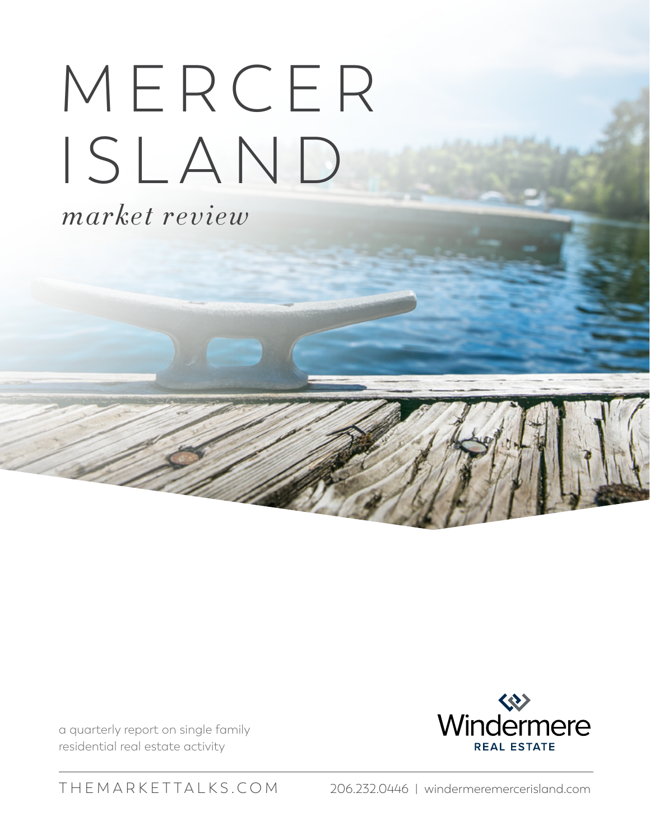## M E R C E R ISLAND

*market review*

a quarterly report on single family residential real estate activity



[THEMARKETTALKS.COM](http://themarkettalks.com) 206.232.0446 | [windermeremercerisland.com](http://windermeremercerisland.com)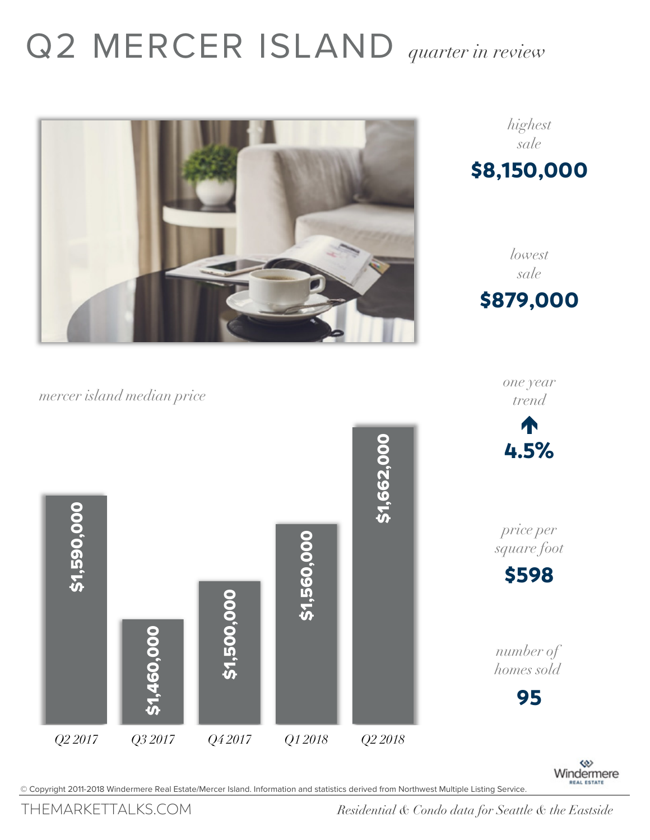## Q2 MERCER ISLAND *quarter in review*



*mercer island median price*



\$879,000

*highest sale*

\$8,150,000

*lowest sale*

*one year trend*

© Copyright 2011-2018 Windermere Real Estate/Mercer Island. Information and statistics derived from Northwest Multiple Listing Service.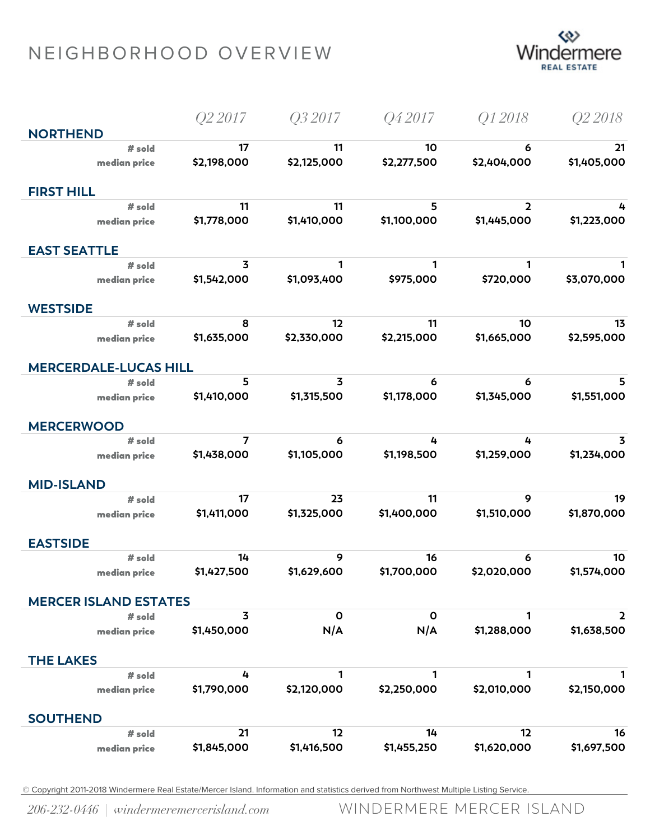## NEIGHBORHOOD OVERVIEW



|                              | Q2 2017        | Q3 2017      | Q42017           | Q12018                  | Q <sub>2</sub> 2018 |
|------------------------------|----------------|--------------|------------------|-------------------------|---------------------|
| <b>NORTHEND</b>              |                |              |                  |                         |                     |
| # sold                       | 17             | 11           | 10               | 6                       | 21                  |
| median price                 | \$2,198,000    | \$2,125,000  | \$2,277,500      | \$2,404,000             | \$1,405,000         |
| <b>FIRST HILL</b>            |                |              |                  |                         |                     |
| # sold                       | 11             | 11           | 5                | $\overline{\mathbf{2}}$ | 4                   |
| median price                 | \$1,778,000    | \$1,410,000  | \$1,100,000      | \$1,445,000             | \$1,223,000         |
|                              |                |              |                  |                         |                     |
| <b>EAST SEATTLE</b>          |                |              |                  |                         |                     |
| # sold                       | 3              | 1            | 1                | 1                       | 1                   |
| median price                 | \$1,542,000    | \$1,093,400  | \$975,000        | \$720,000               | \$3,070,000         |
| <b>WESTSIDE</b>              |                |              |                  |                         |                     |
| # sold                       | 8              | 12           | 11               | 10                      | 13                  |
| median price                 | \$1,635,000    | \$2,330,000  | \$2,215,000      | \$1,665,000             | \$2,595,000         |
|                              |                |              |                  |                         |                     |
| <b>MERCERDALE-LUCAS HILL</b> |                |              |                  |                         |                     |
| $#$ sold                     | 5              | 3            | 6<br>\$1,178,000 | 6                       | 5<br>\$1,551,000    |
| median price                 | \$1,410,000    | \$1,315,500  |                  | \$1,345,000             |                     |
| <b>MERCERWOOD</b>            |                |              |                  |                         |                     |
| # sold                       | $\overline{7}$ | 6            | 4                | 4                       | 3                   |
| median price                 | \$1,438,000    | \$1,105,000  | \$1,198,500      | \$1,259,000             | \$1,234,000         |
| <b>MID-ISLAND</b>            |                |              |                  |                         |                     |
| # sold                       | 17             | 23           | 11               | 9                       | 19                  |
| median price                 | \$1,411,000    | \$1,325,000  | \$1,400,000      | \$1,510,000             | \$1,870,000         |
|                              |                |              |                  |                         |                     |
| <b>EASTSIDE</b>              |                |              |                  |                         |                     |
| # sold                       | 14             | 9            | 16               | 6                       | 10                  |
| median price                 | \$1,427,500    | \$1,629,600  | \$1,700,000      | \$2,020,000             | \$1,574,000         |
| <b>MERCER ISLAND ESTATES</b> |                |              |                  |                         |                     |
| $#$ sold                     | 3              | $\mathbf{o}$ | $\mathbf 0$      | 1                       | $\overline{2}$      |
| median price                 | \$1,450,000    | N/A          | N/A              | \$1,288,000             | \$1,638,500         |
|                              |                |              |                  |                         |                     |
| <b>THE LAKES</b>             |                |              |                  |                         |                     |
| # sold                       | 4              | 1            | 1                | 1                       | 1                   |
| median price                 | \$1,790,000    | \$2,120,000  | \$2,250,000      | \$2,010,000             | \$2,150,000         |
| <b>SOUTHEND</b>              |                |              |                  |                         |                     |
| # sold                       | 21             | 12           | 14               | 12                      | 16                  |
| median price                 | \$1,845,000    | \$1,416,500  | \$1,455,250      | \$1,620,000             | \$1,697,500         |

© Copyright 2011-2018 Windermere Real Estate/Mercer Island. Information and statistics derived from Northwest Multiple Listing Service.